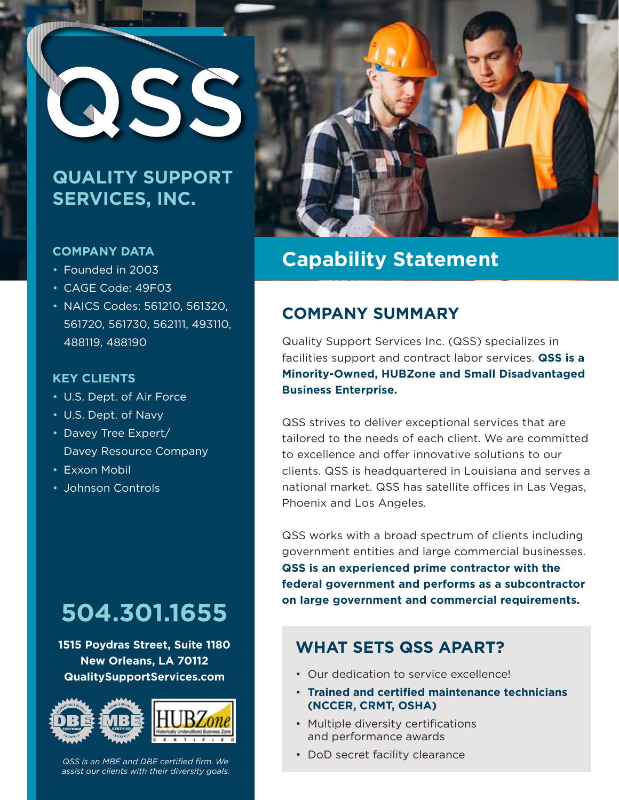

### **QUALITY SUPPORT SERVICES, INC.**

#### **COMPANY DATA**

- Founded in 2003
- CAGE Code: 49F03
- NAICS Codes: 561210, 561320, 561720, 561730, 562111, 493110, 488119, 488190

#### **KEY CLIENTS**

- U.S. Dept. of Air Force
- U.S. Dept. of Navy
- Davey Tree Expert/ Davey Resource Company
- Exxon Mobil
- Johnson Controls

# **504.301.1655**

**1515 Poydras Street, Suite 1180 New Orleans, LA 70112 QualitySupportServices.com**



*QSS is an MBE and DBE certified firm. We assist our clients with their diversity goals.*



# **Capability Statement**

### **COMPANY SUMMARY**

Quality Support Services Inc. (QSS) specializes in facilities support and contract labor services. **QSS is a Minority-Owned, HUBZone and Small Disadvantaged Business Enterprise.**

QSS strives to deliver exceptional services that are tailored to the needs of each client. We are committed to excellence and offer innovative solutions to our clients. QSS is headquartered in Louisiana and serves a national market. QSS has satellite offices in Las Vegas, Phoenix and Los Angeles.

QSS works with a broad spectrum of clients including government entities and large commercial businesses. **QSS is an experienced prime contractor with the federal government and performs as a subcontractor on large government and commercial requirements.**

#### **WHAT SETS QSS APART?**

- Our dedication to service excellence!
- **Trained and certified maintenance technicians (NCCER, CRMT, OSHA)**
- Multiple diversity certifications and performance awards
- DoD secret facility clearance